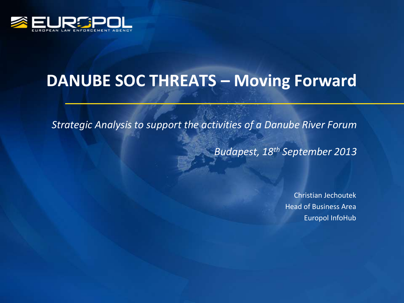

# **DANUBE SOC THREATS – Moving Forward**

*Strategic Analysis to support the activities of a Danube River Forum*

*Budapest, 18th September 2013*

Christian Jechoutek Head of Business Area Europol InfoHub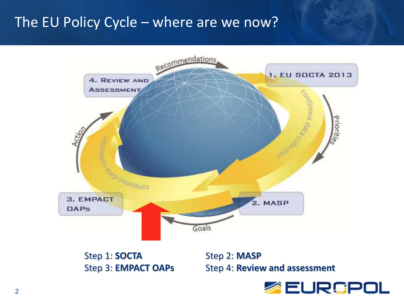# The EU Policy Cycle – where are we now?



Step 1: **SOCTA** Step 2: **MASP** 

Step 3: **EMPACT OAPs** Step 4: **Review and assessment**

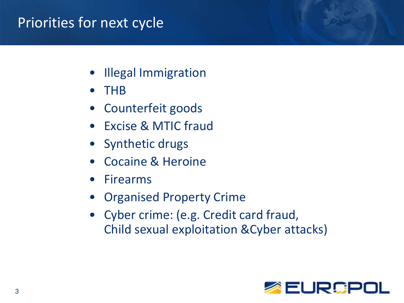# Priorities for next cycle

- Illegal Immigration
- THB
- Counterfeit goods
- Excise & MTIC fraud
- Synthetic drugs
- Cocaine & Heroine
- **Firearms**
- Organised Property Crime
- Cyber crime: (e.g. Credit card fraud, Child sexual exploitation &Cyber attacks)

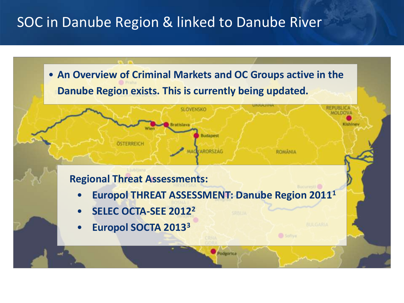# SOC in Danube Region & linked to Danube River

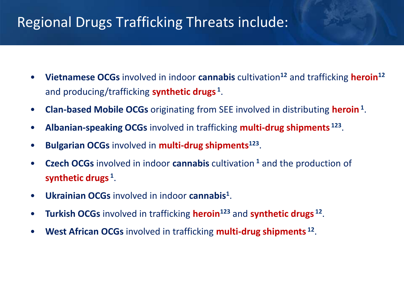# Regional Drugs Trafficking Threats include:

- **Vietnamese OCGs** involved in indoor **cannabis** cultivation**<sup>12</sup>** and trafficking **heroin<sup>12</sup>** and producing/trafficking **synthetic drugs <sup>1</sup>** .
- **Clan-based Mobile OCGs** originating from SEE involved in distributing **heroin<sup>1</sup>** .
- **Albanian-speaking OCGs** involved in trafficking **multi-drug shipments <sup>123</sup>** .
- **Bulgarian OCGs** involved in **multi-drug shipments<sup>123</sup>** .
- **Czech OCGs** involved in indoor **cannabis** cultivation **<sup>1</sup>** and the production of **synthetic drugs <sup>1</sup>** .
- **Ukrainian OCGs** involved in indoor **cannabis<sup>1</sup>** .
- **Turkish OCGs** involved in trafficking **heroin<sup>123</sup>** and **synthetic drugs <sup>12</sup>** .
- **West African OCGs** involved in trafficking **multi-drug shipments <sup>12</sup>** .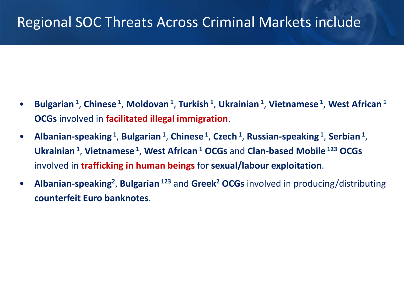# Regional SOC Threats Across Criminal Markets include

- **Bulgarian <sup>1</sup>** , **Chinese <sup>1</sup>** , **Moldovan<sup>1</sup>** , **Turkish <sup>1</sup>** , **Ukrainian <sup>1</sup>** , **Vietnamese <sup>1</sup>** , **West African <sup>1</sup> OCGs** involved in **facilitated illegal immigration**.
- **Albanian-speaking <sup>1</sup>** , **Bulgarian <sup>1</sup>** , **Chinese <sup>1</sup>** , **Czech <sup>1</sup>** , **Russian-speaking <sup>1</sup>** , **Serbian<sup>1</sup>** , **Ukrainian <sup>1</sup>** , **Vietnamese <sup>1</sup>** , **West African <sup>1</sup> OCGs** and **Clan-based Mobile <sup>123</sup> OCGs**  involved in **trafficking in human beings** for **sexual/labour exploitation**.
- **Albanian-speaking<sup>2</sup>** , **Bulgarian <sup>123</sup>** and **Greek<sup>2</sup> OCGs** involved in producing/distributing **counterfeit Euro banknotes**.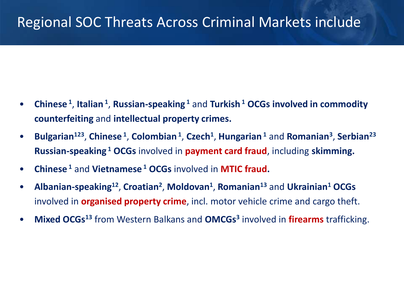#### Regional SOC Threats Across Criminal Markets include

- **Chinese <sup>1</sup>** , **Italian <sup>1</sup>** , **Russian-speaking <sup>1</sup>** and **Turkish <sup>1</sup> OCGs involved in commodity counterfeiting** and **intellectual property crimes.**
- **Bulgarian<sup>123</sup>** , **Chinese <sup>1</sup>** , **Colombian<sup>1</sup>** , **Czech<sup>1</sup>** , **Hungarian <sup>1</sup>** and **Romanian<sup>3</sup>** , **Serbian<sup>23</sup> Russian-speaking <sup>1</sup> OCGs** involved in **payment card fraud**, including **skimming.**
- **Chinese <sup>1</sup>** and **Vietnamese <sup>1</sup> OCGs** involved in **MTIC fraud.**
- **Albanian-speaking<sup>12</sup>** , **Croatian<sup>2</sup>** , **Moldovan<sup>1</sup>** , **Romanian<sup>13</sup>** and **Ukrainian<sup>1</sup> OCGs**  involved in **organised property crime**, incl. motor vehicle crime and cargo theft.
- **Mixed OCGs<sup>13</sup>** from Western Balkans and **OMCGs<sup>3</sup>** involved in **firearms** trafficking.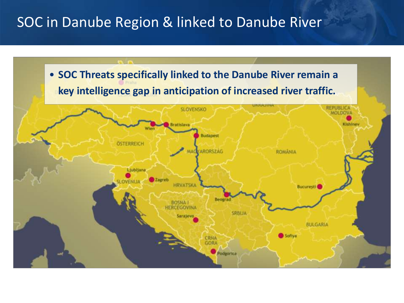# SOC in Danube Region & linked to Danube River

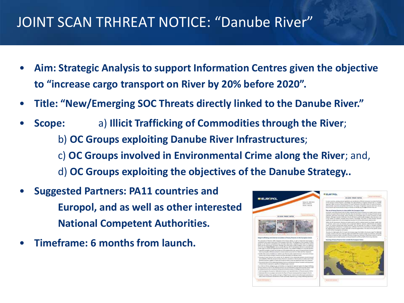# JOINT SCAN TRHREAT NOTICE: "Danube River"

- **Aim: Strategic Analysis to support Information Centres given the objective to "increase cargo transport on River by 20% before 2020".**
- **Title: "New/Emerging SOC Threats directly linked to the Danube River."**
- **Scope:** a) **Illicit Trafficking of Commodities through the River**; b) **OC Groups exploiting Danube River Infrastructures**; c) **OC Groups involved in Environmental Crime along the River**; and,
	- d) **OC Groups exploiting the objectives of the Danube Strategy..**
- **Suggested Partners: PA11 countries and Europol, and as well as other interested National Competent Authorities.**
- **Timeframe: 6 months from launch.**

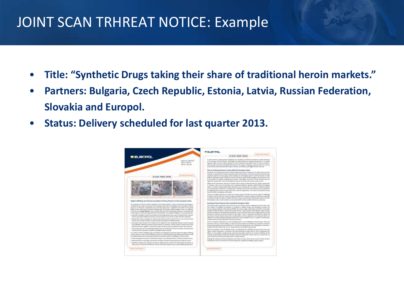#### JOINT SCAN TRHREAT NOTICE: Example

- **Title: "Synthetic Drugs taking their share of traditional heroin markets."**
- **Partners: Bulgaria, Czech Republic, Estonia, Latvia, Russian Federation, Slovakia and Europol.**
- **Status: Delivery scheduled for last quarter 2013.**